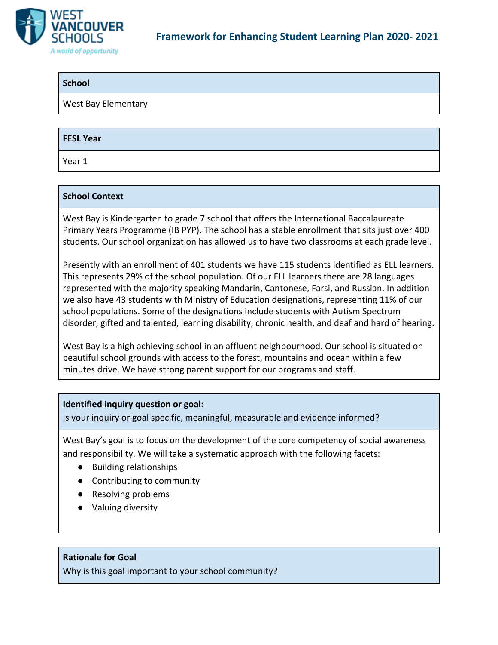

## **School**

West Bay Elementary

# **FESL Year**

Year 1

# **School Context**

West Bay is Kindergarten to grade 7 school that offers the International Baccalaureate Primary Years Programme (IB PYP). The school has a stable enrollment that sits just over 400 students. Our school organization has allowed us to have two classrooms at each grade level.

Presently with an enrollment of 401 students we have 115 students identified as ELL learners. This represents 29% of the school population. Of our ELL learners there are 28 languages represented with the majority speaking Mandarin, Cantonese, Farsi, and Russian. In addition we also have 43 students with Ministry of Education designations, representing 11% of our school populations. Some of the designations include students with Autism Spectrum disorder, gifted and talented, learning disability, chronic health, and deaf and hard of hearing.

West Bay is a high achieving school in an affluent neighbourhood. Our school is situated on beautiful school grounds with access to the forest, mountains and ocean within a few minutes drive. We have strong parent support for our programs and staff.

## **Identified inquiry question or goal:**

Is your inquiry or goal specific, meaningful, measurable and evidence informed?

West Bay's goal is to focus on the development of the core competency of social awareness and responsibility. We will take a systematic approach with the following facets:

- Building relationships
- Contributing to community
- Resolving problems
- Valuing diversity

## **Rationale for Goal**

Why is this goal important to your school community?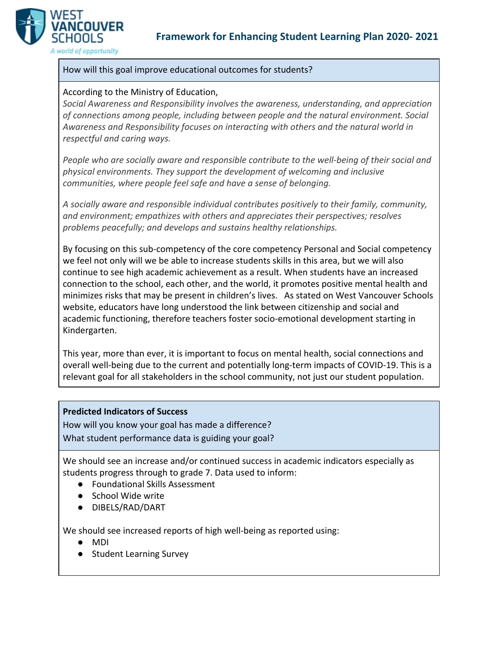

#### A world of opportunity

# How will this goal improve educational outcomes for students?

## According to the Ministry of Education,

*Social Awareness and Responsibility involves the awareness, understanding, and appreciation of connections among people, including between people and the natural environment. Social Awareness and Responsibility focuses on interacting with others and the natural world in respectful and caring ways.*

*People who are socially aware and responsible contribute to the well-being of their social and physical environments. They support the development of welcoming and inclusive communities, where people feel safe and have a sense of belonging.*

*A socially aware and responsible individual contributes positively to their family, community, and environment; empathizes with others and appreciates their perspectives; resolves problems peacefully; and develops and sustains healthy relationships.*

By focusing on this sub-competency of the core competency Personal and Social competency we feel not only will we be able to increase students skills in this area, but we will also continue to see high academic achievement as a result. When students have an increased connection to the school, each other, and the world, it promotes positive mental health and minimizes risks that may be present in children's lives. As stated on West Vancouver Schools website, educators have long understood the link between citizenship and social and academic functioning, therefore teachers foster socio-emotional development starting in Kindergarten.

This year, more than ever, it is important to focus on mental health, social connections and overall well-being due to the current and potentially long-term impacts of COVID-19. This is a relevant goal for all stakeholders in the school community, not just our student population.

## **Predicted Indicators of Success**

How will you know your goal has made a difference? What student performance data is guiding your goal?

We should see an increase and/or continued success in academic indicators especially as students progress through to grade 7. Data used to inform:

- Foundational Skills Assessment
- School Wide write
- DIBELS/RAD/DART

We should see increased reports of high well-being as reported using:

- MDI
- Student Learning Survey